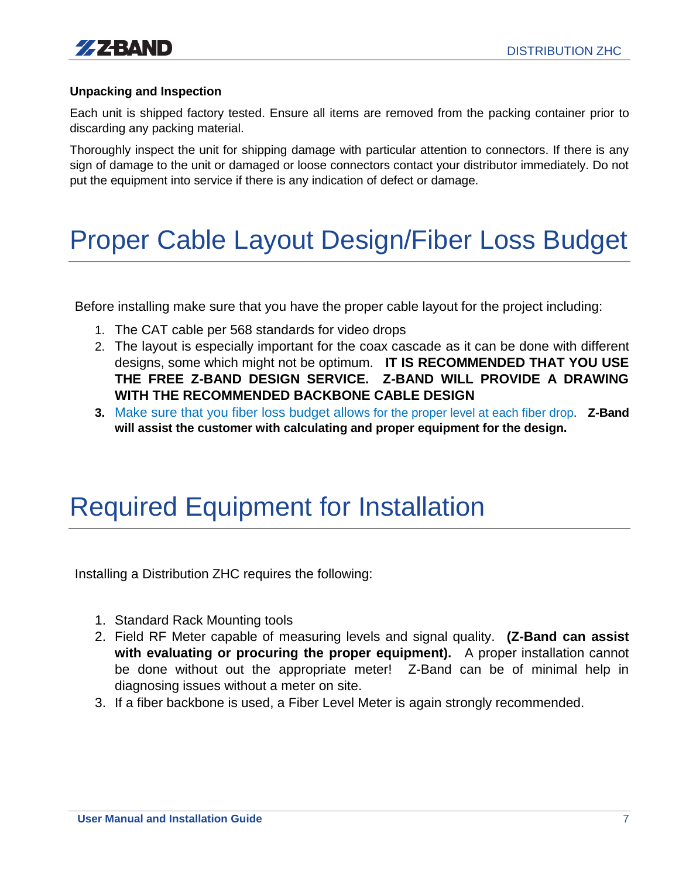

#### **Unpacking and Inspection**

Each unit is shipped factory tested. Ensure all items are removed from the packing container prior to discarding any packing material.

Thoroughly inspect the unit for shipping damage with particular attention to connectors. If there is any sign of damage to the unit or damaged or loose connectors contact your distributor immediately. Do not put the equipment into service if there is any indication of defect or damage.

## Proper Cable Layout Design/Fiber Loss Budget

Before installing make sure that you have the proper cable layout for the project including:

- 1. The CAT cable per 568 standards for video drops
- 2. The layout is especially important for the coax cascade as it can be done with different designs, some which might not be optimum. **IT IS RECOMMENDED THAT YOU USE THE FREE Z-BAND DESIGN SERVICE. Z-BAND WILL PROVIDE A DRAWING WITH THE RECOMMENDED BACKBONE CABLE DESIGN**
- **3.** Make sure that you fiber loss budget allows for the proper level at each fiber drop. **Z-Band will assist the customer with calculating and proper equipment for the design.**

## Required Equipment for Installation

Installing a Distribution ZHC requires the following:

- 1. Standard Rack Mounting tools
- 2. Field RF Meter capable of measuring levels and signal quality. **(Z-Band can assist with evaluating or procuring the proper equipment).** A proper installation cannot be done without out the appropriate meter! Z-Band can be of minimal help in diagnosing issues without a meter on site.
- 3. If a fiber backbone is used, a Fiber Level Meter is again strongly recommended.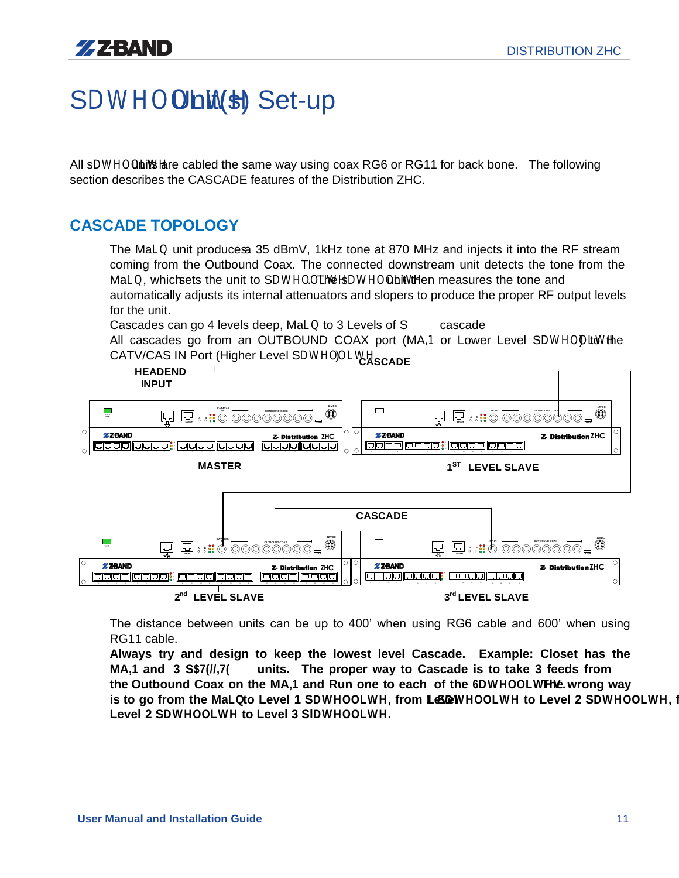# SDWHOOLW(S) Set-up

All sDWHOON its lare cabled the same way using coax RG6 or RG11 for back bone. The following section describes the CASCADE features of the Distribution ZHC.

### **CASCADE TOPOLOGY**

 The MaLQunit produces a 35 dBmV, 1kHz tone at 870 MHz and injects it into the RF stream coming from the Outbound Coax. The connected downstream unit detects the tone from the MaLQ which sets the unit to SDWHOOLING HOWHOONLIWH ben measures the tone and automatically adjusts its internal attenuators and slopers to produce the proper RF output levels for the unit.

Cascades can go 4 levels deep, MaLCto 3 Levels of SDWHOO as the

All cascades go from an OUTBOUND COAX port (MA,1 or Lower Level SDWHOOL While CATV/CAS IN Port (Higher Level SDWHOOLWH )



 The distance between units can be up to 400' when using RG6 cable and 600' when using RG11 cable.

 **Always try and design to keep the lowest level Cascade. Example: Closet has the MA,1** and 3 SW, T units. The proper way to Cascade is to take 3 feeds from **the Outbound Coax on the MA.1 and Run one to each of the 6DWHOOLWTHV wrong way . is to go from the MaLQ to Level 1 SDWHOOLWH, from LeDEWHOOLWH to Level 2 SDWHOOLWH, Level 2 SDWHOOLWH to Level 3 SlDWHOOLWH.**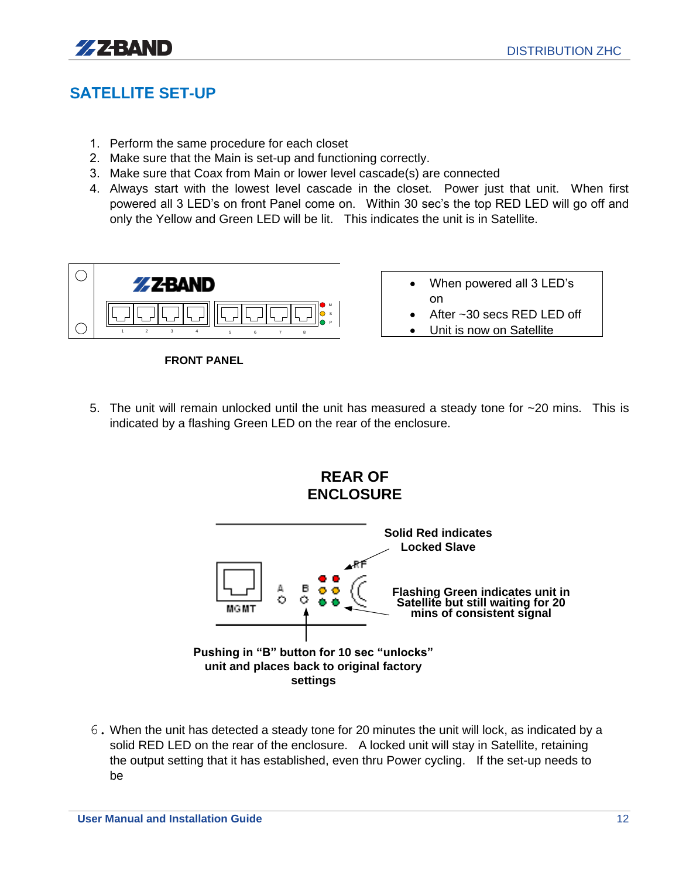

### **SATELLITE SET-UP**

- 1. Perform the same procedure for each closet
- 2. Make sure that the Main is set-up and functioning correctly.
- 3. Make sure that Coax from Main or lower level cascade(s) are connected
- 4. Always start with the lowest level cascade in the closet. Power just that unit. When first powered all 3 LED's on front Panel come on. Within 30 sec's the top RED LED will go off and only the Yellow and Green LED will be lit. This indicates the unit is in Satellite. 20 secs the top RED LED will go off and<br>ates the unit is in Satellite.<br>
<br>
• When powered all 3 LED's



**FRONT PANEL**

- When powered all 3 LED's on
- After ~30 secs RED LED off
- 
- 5. The unit will remain unlocked until the unit has measured a steady tone for ~20 mins. This is indicated by a flashing Green LED on the rear of the enclosure.



6. When the unit has detected a steady tone for 20 minutes the unit will lock, as indicated by a solid RED LED on the rear of the enclosure. A locked unit will stay in Satellite, retaining the output setting that it has established, even thru Power cycling. If the set-up needs to be